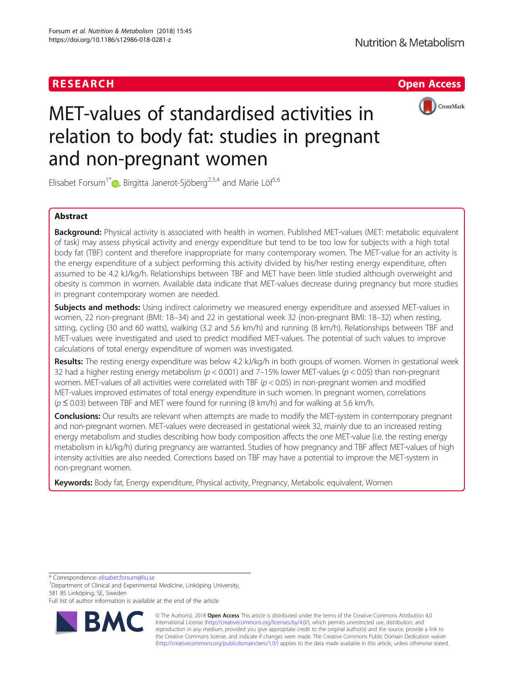# RESEARCH **RESEARCH CHOOSE INTERNATIONAL CONTRACT CONTRACT OF ACCESS**



# MET-values of standardised activities in relation to body fat: studies in pregnant and non-pregnant women

Elisabet Forsum<sup>1[\\*](http://orcid.org/0000-0001-9060-0066)</sup> $\bullet$ , Birgitta Janerot-Sjöberg<sup>2,3,4</sup> and Marie Löf<sup>5,6</sup>

# Abstract

Background: Physical activity is associated with health in women. Published MET-values (MET: metabolic equivalent of task) may assess physical activity and energy expenditure but tend to be too low for subjects with a high total body fat (TBF) content and therefore inappropriate for many contemporary women. The MET-value for an activity is the energy expenditure of a subject performing this activity divided by his/her resting energy expenditure, often assumed to be 4.2 kJ/kg/h. Relationships between TBF and MET have been little studied although overweight and obesity is common in women. Available data indicate that MET-values decrease during pregnancy but more studies in pregnant contemporary women are needed.

Subjects and methods: Using indirect calorimetry we measured energy expenditure and assessed MET-values in women, 22 non-pregnant (BMI: 18–34) and 22 in gestational week 32 (non-pregnant BMI: 18–32) when resting, sitting, cycling (30 and 60 watts), walking (3.2 and 5.6 km/h) and running (8 km/h). Relationships between TBF and MET-values were investigated and used to predict modified MET-values. The potential of such values to improve calculations of total energy expenditure of women was investigated.

Results: The resting energy expenditure was below 4.2 kJ/kg/h in both groups of women. Women in gestational week 32 had a higher resting energy metabolism ( $p < 0.001$ ) and 7–15% lower MET-values ( $p < 0.05$ ) than non-pregnant women. MET-values of all activities were correlated with TBF ( $p < 0.05$ ) in non-pregnant women and modified MET-values improved estimates of total energy expenditure in such women. In pregnant women, correlations  $(p \le 0.03)$  between TBF and MET were found for running (8 km/h) and for walking at 5.6 km/h.

**Conclusions:** Our results are relevant when attempts are made to modify the MET-system in contemporary pregnant and non-pregnant women. MET-values were decreased in gestational week 32, mainly due to an increased resting energy metabolism and studies describing how body composition affects the one MET-value (i.e. the resting energy metabolism in kJ/kg/h) during pregnancy are warranted. Studies of how pregnancy and TBF affect MET-values of high intensity activities are also needed. Corrections based on TBF may have a potential to improve the MET-system in non-pregnant women.

Keywords: Body fat, Energy expenditure, Physical activity, Pregnancy, Metabolic equivalent, Women

\* Correspondence: [elisabet.forsum@liu.se](mailto:elisabet.forsum@liu.se) <sup>1</sup>

<sup>1</sup>Department of Clinical and Experimental Medicine, Linköping University, 581 85 Linköping, SE, Sweden

Full list of author information is available at the end of the article



© The Author(s). 2018 Open Access This article is distributed under the terms of the Creative Commons Attribution 4.0 International License [\(http://creativecommons.org/licenses/by/4.0/](http://creativecommons.org/licenses/by/4.0/)), which permits unrestricted use, distribution, and reproduction in any medium, provided you give appropriate credit to the original author(s) and the source, provide a link to the Creative Commons license, and indicate if changes were made. The Creative Commons Public Domain Dedication waiver [\(http://creativecommons.org/publicdomain/zero/1.0/](http://creativecommons.org/publicdomain/zero/1.0/)) applies to the data made available in this article, unless otherwise stated.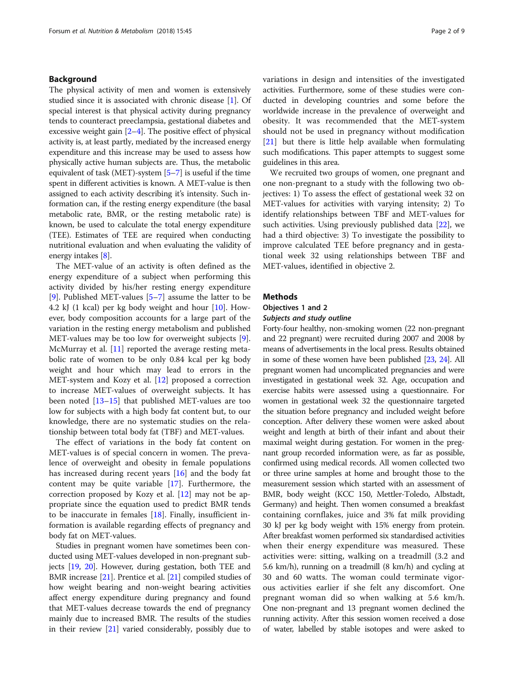# Background

The physical activity of men and women is extensively studied since it is associated with chronic disease [\[1](#page-7-0)]. Of special interest is that physical activity during pregnancy tends to counteract preeclampsia, gestational diabetes and excessive weight gain  $[2-4]$  $[2-4]$  $[2-4]$  $[2-4]$  $[2-4]$ . The positive effect of physical activity is, at least partly, mediated by the increased energy expenditure and this increase may be used to assess how physically active human subjects are. Thus, the metabolic equivalent of task (MET)-system [\[5](#page-8-0)–[7](#page-8-0)] is useful if the time spent in different activities is known. A MET-value is then assigned to each activity describing it's intensity. Such information can, if the resting energy expenditure (the basal metabolic rate, BMR, or the resting metabolic rate) is known, be used to calculate the total energy expenditure (TEE). Estimates of TEE are required when conducting nutritional evaluation and when evaluating the validity of energy intakes [[8](#page-8-0)].

The MET-value of an activity is often defined as the energy expenditure of a subject when performing this activity divided by his/her resting energy expenditure [[9\]](#page-8-0). Published MET-values  $[5-7]$  $[5-7]$  $[5-7]$  $[5-7]$  $[5-7]$  assume the latter to be 4.2 kJ (1 kcal) per kg body weight and hour [[10](#page-8-0)]. However, body composition accounts for a large part of the variation in the resting energy metabolism and published MET-values may be too low for overweight subjects [\[9](#page-8-0)]. McMurray et al. [[11\]](#page-8-0) reported the average resting metabolic rate of women to be only 0.84 kcal per kg body weight and hour which may lead to errors in the MET-system and Kozy et al. [\[12](#page-8-0)] proposed a correction to increase MET-values of overweight subjects. It has been noted [[13](#page-8-0)–[15](#page-8-0)] that published MET-values are too low for subjects with a high body fat content but, to our knowledge, there are no systematic studies on the relationship between total body fat (TBF) and MET-values.

The effect of variations in the body fat content on MET-values is of special concern in women. The prevalence of overweight and obesity in female populations has increased during recent years [\[16\]](#page-8-0) and the body fat content may be quite variable [\[17](#page-8-0)]. Furthermore, the correction proposed by Kozy et al. [\[12\]](#page-8-0) may not be appropriate since the equation used to predict BMR tends to be inaccurate in females [[18\]](#page-8-0). Finally, insufficient information is available regarding effects of pregnancy and body fat on MET-values.

Studies in pregnant women have sometimes been conducted using MET-values developed in non-pregnant subjects [\[19,](#page-8-0) [20\]](#page-8-0). However, during gestation, both TEE and BMR increase [[21](#page-8-0)]. Prentice et al. [[21\]](#page-8-0) compiled studies of how weight bearing and non-weight bearing activities affect energy expenditure during pregnancy and found that MET-values decrease towards the end of pregnancy mainly due to increased BMR. The results of the studies in their review [\[21\]](#page-8-0) varied considerably, possibly due to variations in design and intensities of the investigated activities. Furthermore, some of these studies were conducted in developing countries and some before the worldwide increase in the prevalence of overweight and obesity. It was recommended that the MET-system should not be used in pregnancy without modification [[21\]](#page-8-0) but there is little help available when formulating such modifications. This paper attempts to suggest some guidelines in this area.

We recruited two groups of women, one pregnant and one non-pregnant to a study with the following two objectives: 1) To assess the effect of gestational week 32 on MET-values for activities with varying intensity; 2) To identify relationships between TBF and MET-values for such activities. Using previously published data [\[22](#page-8-0)], we had a third objective: 3) To investigate the possibility to improve calculated TEE before pregnancy and in gestational week 32 using relationships between TBF and MET-values, identified in objective 2.

# **Methods**

# Objectives 1 and 2 Subjects and study outline

Forty-four healthy, non-smoking women (22 non-pregnant and 22 pregnant) were recruited during 2007 and 2008 by means of advertisements in the local press. Results obtained in some of these women have been published [\[23,](#page-8-0) [24\]](#page-8-0). All pregnant women had uncomplicated pregnancies and were investigated in gestational week 32. Age, occupation and exercise habits were assessed using a questionnaire. For women in gestational week 32 the questionnaire targeted the situation before pregnancy and included weight before conception. After delivery these women were asked about weight and length at birth of their infant and about their maximal weight during gestation. For women in the pregnant group recorded information were, as far as possible, confirmed using medical records. All women collected two or three urine samples at home and brought those to the measurement session which started with an assessment of BMR, body weight (KCC 150, Mettler-Toledo, Albstadt, Germany) and height. Then women consumed a breakfast containing cornflakes, juice and 3% fat milk providing 30 kJ per kg body weight with 15% energy from protein. After breakfast women performed six standardised activities when their energy expenditure was measured. These activities were: sitting, walking on a treadmill (3.2 and 5.6 km/h), running on a treadmill (8 km/h) and cycling at 30 and 60 watts. The woman could terminate vigorous activities earlier if she felt any discomfort. One pregnant woman did so when walking at 5.6 km/h. One non-pregnant and 13 pregnant women declined the running activity. After this session women received a dose of water, labelled by stable isotopes and were asked to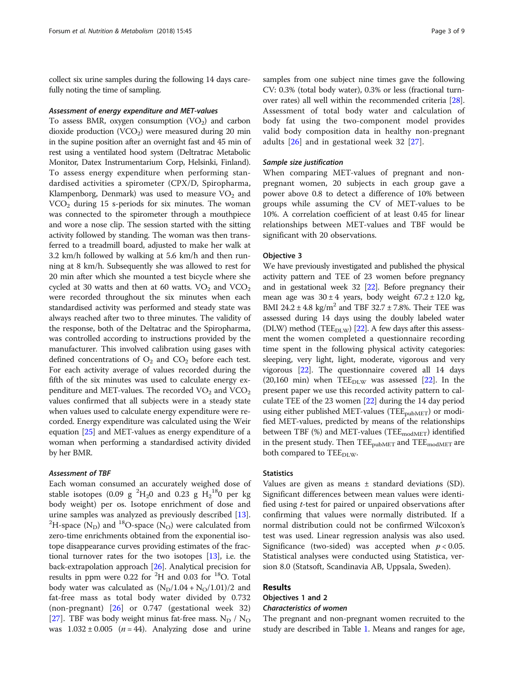collect six urine samples during the following 14 days carefully noting the time of sampling.

#### Assessment of energy expenditure and MET-values

To assess BMR, oxygen consumption  $(VO<sub>2</sub>)$  and carbon dioxide production  $(VCO<sub>2</sub>)$  were measured during 20 min in the supine position after an overnight fast and 45 min of rest using a ventilated hood system (Deltratrac Metabolic Monitor, Datex Instrumentarium Corp, Helsinki, Finland). To assess energy expenditure when performing standardised activities a spirometer (CPX/D, Spiropharma, Klampenborg, Denmark) was used to measure  $VO<sub>2</sub>$  and  $VCO<sub>2</sub>$  during 15 s-periods for six minutes. The woman was connected to the spirometer through a mouthpiece and wore a nose clip. The session started with the sitting activity followed by standing. The woman was then transferred to a treadmill board, adjusted to make her walk at 3.2 km/h followed by walking at 5.6 km/h and then running at 8 km/h. Subsequently she was allowed to rest for 20 min after which she mounted a test bicycle where she cycled at 30 watts and then at 60 watts.  $VO<sub>2</sub>$  and  $VCO<sub>2</sub>$ were recorded throughout the six minutes when each standardised activity was performed and steady state was always reached after two to three minutes. The validity of the response, both of the Deltatrac and the Spiropharma, was controlled according to instructions provided by the manufacturer. This involved calibration using gases with defined concentrations of  $O_2$  and  $CO_2$  before each test. For each activity average of values recorded during the fifth of the six minutes was used to calculate energy expenditure and MET-values. The recorded  $VO<sub>2</sub>$  and  $VCO<sub>2</sub>$ values confirmed that all subjects were in a steady state when values used to calculate energy expenditure were recorded. Energy expenditure was calculated using the Weir equation [[25](#page-8-0)] and MET-values as energy expenditure of a woman when performing a standardised activity divided by her BMR.

#### Assessment of TBF

Each woman consumed an accurately weighed dose of stable isotopes (0.09 g  ${}^{2}H_{2}0$  and 0.23 g  $H_{2}{}^{18}0$  per kg body weight) per os. Isotope enrichment of dose and urine samples was analyzed as previously described [\[13](#page-8-0)]. <sup>2</sup> <sup>2</sup>H-space (N<sub>D</sub>) and <sup>18</sup>O-space (N<sub>O</sub>) were calculated from zero-time enrichments obtained from the exponential isotope disappearance curves providing estimates of the fractional turnover rates for the two isotopes [\[13\]](#page-8-0), i.e. the back-extrapolation approach [\[26\]](#page-8-0). Analytical precision for results in ppm were 0.22 for <sup>2</sup>H and 0.03 for <sup>18</sup>O. Total body water was calculated as  $(N_D/1.04 + N_O/1.01)/2$  and fat-free mass as total body water divided by 0.732 (non-pregnant) [\[26](#page-8-0)] or 0.747 (gestational week 32) [[27\]](#page-8-0). TBF was body weight minus fat-free mass.  $N_D / N_O$ was  $1.032 \pm 0.005$  (*n* = 44). Analyzing dose and urine samples from one subject nine times gave the following CV: 0.3% (total body water), 0.3% or less (fractional turnover rates) all well within the recommended criteria [[28](#page-8-0)]. Assessment of total body water and calculation of body fat using the two-component model provides valid body composition data in healthy non-pregnant adults [[26\]](#page-8-0) and in gestational week 32 [[27](#page-8-0)].

#### Sample size justification

When comparing MET-values of pregnant and nonpregnant women, 20 subjects in each group gave a power above 0.8 to detect a difference of 10% between groups while assuming the CV of MET-values to be 10%. A correlation coefficient of at least 0.45 for linear relationships between MET-values and TBF would be significant with 20 observations.

#### Objective 3

We have previously investigated and published the physical activity pattern and TEE of 23 women before pregnancy and in gestational week 32 [\[22\]](#page-8-0). Before pregnancy their mean age was  $30 \pm 4$  years, body weight  $67.2 \pm 12.0$  kg, BMI 24.2  $\pm$  4.8 kg/m<sup>2</sup> and TBF 32.7  $\pm$  7.8%. Their TEE was assessed during 14 days using the doubly labeled water (DLW) method (TEE $_{\text{DLW}}$ ) [\[22\]](#page-8-0). A few days after this assessment the women completed a questionnaire recording time spent in the following physical activity categories: sleeping, very light, light, moderate, vigorous and very vigorous [\[22\]](#page-8-0). The questionnaire covered all 14 days (20,160 min) when  $\text{TEE}_{\text{DLW}}$  was assessed [[22](#page-8-0)]. In the present paper we use this recorded activity pattern to calculate TEE of the 23 women [\[22\]](#page-8-0) during the 14 day period using either published MET-values (TEE<sub>pubMET</sub>) or modified MET-values, predicted by means of the relationships between TBF (%) and MET-values (TEE<sub>modMET</sub>) identified in the present study. Then  $\text{TEE}_{\text{pubMET}}$  and  $\text{TEE}_{\text{modMET}}$  are both compared to TEE<sub>DLW</sub>.

## **Statistics**

Values are given as means  $\pm$  standard deviations (SD). Significant differences between mean values were identified using t-test for paired or unpaired observations after confirming that values were normally distributed. If a normal distribution could not be confirmed Wilcoxon's test was used. Linear regression analysis was also used. Significance (two-sided) was accepted when  $p < 0.05$ . Statistical analyses were conducted using Statistica, version 8.0 (Statsoft, Scandinavia AB, Uppsala, Sweden).

# Results

# Objectives 1 and 2

# Characteristics of women

The pregnant and non-pregnant women recruited to the study are described in Table [1.](#page-3-0) Means and ranges for age,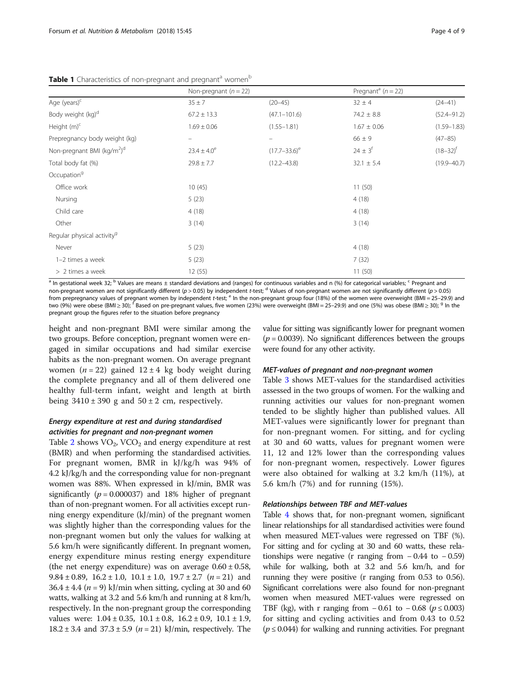<span id="page-3-0"></span>Table 1 Characteristics of non-pregnant and pregnant<sup>a</sup> women<sup>b</sup>

|                                                    | Non-pregnant $(n = 22)$ |                   | Pregnant <sup>a</sup> ( $n = 22$ ) |                 |
|----------------------------------------------------|-------------------------|-------------------|------------------------------------|-----------------|
| Age (years) <sup>c</sup>                           | $35 \pm 7$              | $(20 - 45)$       | $32 \pm 4$                         | $(24 - 41)$     |
| Body weight (kg) <sup>d</sup>                      | $67.2 \pm 13.3$         | $(47.1 - 101.6)$  | $74.2 \pm 8.8$                     | $(52.4 - 91.2)$ |
| Height $(m)^c$                                     | $1.69 \pm 0.06$         | $(1.55 - 1.81)$   | $1.67 \pm 0.06$                    | $(1.59 - 1.83)$ |
| Prepregnancy body weight (kg)                      |                         |                   | $66 \pm 9$                         | $(47 - 85)$     |
| Non-pregnant BMI (kg/m <sup>2</sup> ) <sup>d</sup> | $23.4 \pm 4.0^e$        | $(17.7 - 33.6)^e$ | $24 \pm 3^{f}$                     | $(18 - 32)^f$   |
| Total body fat (%)                                 | $29.8 \pm 7.7$          | $(12.2 - 43.8)$   | $32.1 \pm 5.4$                     | $(19.9 - 40.7)$ |
| Occupation <sup>9</sup>                            |                         |                   |                                    |                 |
| Office work                                        | 10(45)                  |                   | 11(50)                             |                 |
| Nursing                                            | 5(23)                   |                   | 4(18)                              |                 |
| Child care                                         | 4(18)                   |                   | 4(18)                              |                 |
| Other                                              | 3(14)                   |                   | 3(14)                              |                 |
| Regular physical activity <sup>9</sup>             |                         |                   |                                    |                 |
| Never                                              | 5(23)                   |                   | 4(18)                              |                 |
| 1-2 times a week                                   | 5(23)                   |                   | 7(32)                              |                 |
| > 2 times a week                                   | 12(55)                  |                   | 11(50)                             |                 |

<sup>a</sup> In gestational week 32; <sup>b</sup> Values are means ± standard deviations and (ranges) for continuous variables and n (%) for categorical variables; <sup>c</sup> Pregnant and non-pregnant women are not significantly different (p > 0.05) by independent t-test; <sup>d</sup> Values of non-pregnant women are not significantly different (p > 0.05) from prepregnancy values of pregnant women by independent t-test;  $e^{\epsilon}$  In the non-pregnant group four (18%) of the women were overweight (BMI = 25–29.9) and two (9%) were obese (BMI ≥ 30); <sup>f</sup> Based on pre-pregnant values, five women (23%) were overweight (BMI = 25–29.9) and one (5%) was obese (BMI ≥ 30); <sup>g</sup> In the pregnant group the figures refer to the situation before pregnancy

height and non-pregnant BMI were similar among the two groups. Before conception, pregnant women were engaged in similar occupations and had similar exercise habits as the non-pregnant women. On average pregnant women ( $n = 22$ ) gained  $12 \pm 4$  kg body weight during the complete pregnancy and all of them delivered one healthy full-term infant, weight and length at birth being  $3410 \pm 390$  g and  $50 \pm 2$  cm, respectively.

# Energy expenditure at rest and during standardised activities for pregnant and non-pregnant women

Table [2](#page-4-0) shows  $VO<sub>2</sub>$ ,  $VCO<sub>2</sub>$  and energy expenditure at rest (BMR) and when performing the standardised activities. For pregnant women, BMR in kJ/kg/h was 94% of 4.2 kJ/kg/h and the corresponding value for non-pregnant women was 88%. When expressed in kJ/min, BMR was significantly  $(p = 0.000037)$  and 18% higher of pregnant than of non-pregnant women. For all activities except running energy expenditure (kJ/min) of the pregnant women was slightly higher than the corresponding values for the non-pregnant women but only the values for walking at 5.6 km/h were significantly different. In pregnant women, energy expenditure minus resting energy expenditure (the net energy expenditure) was on average  $0.60 \pm 0.58$ , 9.84  $\pm$  0.89, 16.2  $\pm$  1.0, 10.1  $\pm$  1.0, 19.7  $\pm$  2.7 (*n* = 21) and  $36.4 \pm 4.4$  ( $n = 9$ ) kJ/min when sitting, cycling at 30 and 60 watts, walking at 3.2 and 5.6 km/h and running at 8 km/h, respectively. In the non-pregnant group the corresponding values were:  $1.04 \pm 0.35$ ,  $10.1 \pm 0.8$ ,  $16.2 \pm 0.9$ ,  $10.1 \pm 1.9$ , 18.2 ± 3.4 and  $37.3 \pm 5.9$  ( $n = 21$ ) kJ/min, respectively. The value for sitting was significantly lower for pregnant women  $(p = 0.0039)$ . No significant differences between the groups were found for any other activity.

# MET-values of pregnant and non-pregnant women

Table [3](#page-4-0) shows MET-values for the standardised activities assessed in the two groups of women. For the walking and running activities our values for non-pregnant women tended to be slightly higher than published values. All MET-values were significantly lower for pregnant than for non-pregnant women. For sitting, and for cycling at 30 and 60 watts, values for pregnant women were 11, 12 and 12% lower than the corresponding values for non-pregnant women, respectively. Lower figures were also obtained for walking at 3.2 km/h (11%), at 5.6 km/h (7%) and for running (15%).

## Relationships between TBF and MET-values

Table [4](#page-5-0) shows that, for non-pregnant women, significant linear relationships for all standardised activities were found when measured MET-values were regressed on TBF (%). For sitting and for cycling at 30 and 60 watts, these relationships were negative (r ranging from  $-0.44$  to  $-0.59$ ) while for walking, both at 3.2 and 5.6 km/h, and for running they were positive (r ranging from 0.53 to 0.56). Significant correlations were also found for non-pregnant women when measured MET-values were regressed on TBF (kg), with r ranging from  $-0.61$  to  $-0.68$  ( $p ≤ 0.003$ ) for sitting and cycling activities and from 0.43 to 0.52  $(p \le 0.044)$  for walking and running activities. For pregnant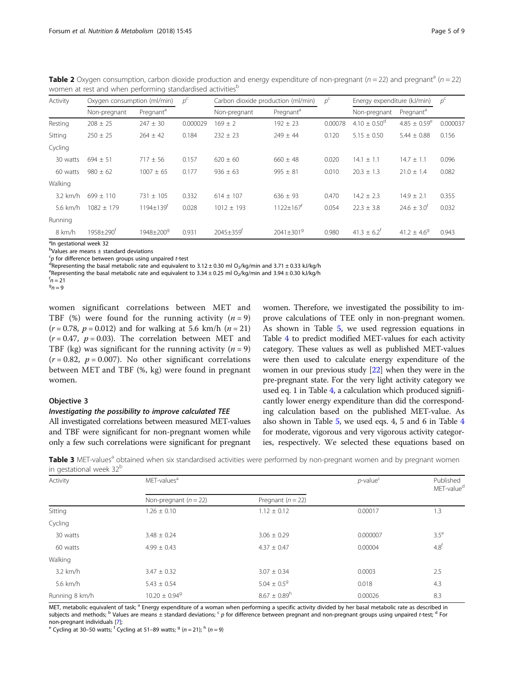<span id="page-4-0"></span>**Table 2** Oxygen consumption, carbon dioxide production and energy expenditure of non-pregnant ( $n = 22$ ) and pregnant<sup>a</sup> ( $n = 22$ ) women at rest and when performing standardised activities<sup>b</sup>

| Activity | Oxygen consumption (ml/min) |                             | $p^{\mathsf{c}}$ | Carbon dioxide production (ml/min) |                             | $p^{\mathsf{c}}$ | Energy expenditure (kJ/min) |                          | $p^{\mathsf{c}}$ |
|----------|-----------------------------|-----------------------------|------------------|------------------------------------|-----------------------------|------------------|-----------------------------|--------------------------|------------------|
|          | Non-pregnant                | Pregnant <sup>a</sup>       |                  | Non-pregnant                       | Pregnant <sup>a</sup>       |                  | Non-pregnant                | Pregnant <sup>a</sup>    |                  |
| Resting  | $208 \pm 25$                | $247 \pm 30$                | 0.000029         | $169 \pm 2$                        | $192 \pm 23$                | 0.00078          | $4.10 \pm 0.50^{\circ}$     | $4.85 \pm 0.59^e$        | 0.000037         |
| Sitting  | $250 \pm 25$                | $264 \pm 42$                | 0.184            | $232 \pm 23$                       | $249 \pm 44$                | 0.120            | $5.15 \pm 0.50$             | $5.44 \pm 0.88$          | 0.156            |
| Cycling  |                             |                             |                  |                                    |                             |                  |                             |                          |                  |
| 30 watts | $694 \pm 51$                | $717 \pm 56$                | 0.157            | $620 \pm 60$                       | $660 \pm 48$                | 0.020            | $14.1 \pm 1.1$              | $14.7 \pm 1.1$           | 0.096            |
| 60 watts | $980 + 62$                  | $1007 \pm 65$               | 0.177            | $936 \pm 63$                       | $995 \pm 81$                | 0.010            | $20.3 \pm 1.3$              | $21.0 \pm 1.4$           | 0.082            |
| Walking  |                             |                             |                  |                                    |                             |                  |                             |                          |                  |
| 3.2 km/h | $699 + 110$                 | $731 \pm 105$               | 0.332            | $614 \pm 107$                      | $636 \pm 93$                | 0.470            | $14.2 \pm 2.3$              | $14.9 \pm 2.1$           | 0.355            |
| 5.6 km/h | $1082 \pm 179$              | $1194 \pm 139$ <sup>t</sup> | 0.028            | $1012 \pm 193$                     | $1122 \pm 167$ <sup>t</sup> | 0.054            | $22.3 \pm 3.8$              | $24.6 \pm 3.0^{\dagger}$ | 0.032            |
| Running  |                             |                             |                  |                                    |                             |                  |                             |                          |                  |
| 8 km/h   | $1958 + 290^{\dagger}$      | 1948+200 <sup>9</sup>       | 0.931            | 2045±359 <sup>t</sup>              | $2041 \pm 3019$             | 0.980            | $41.3 \pm 6.2$ <sup>t</sup> | $41.2 \pm 4.6^9$         | 0.943            |

<sup>a</sup>ln gestational week 32

b Values are means ± standard deviations

 $\epsilon_{\rm p}$  for difference between groups using unpaired *t*-test<br><sup>d</sup>Representing the basal metabolic rate and equivalent

<sup>d</sup>Representing the basal metabolic rate and equivalent to 3.12  $\pm$  0.30 ml O<sub>2</sub>/kg/min and 3.71  $\pm$  0.33 kJ/kg/h

<sup>e</sup>Representing the basal metabolic rate and equivalent to 3.34  $\pm$  0.25 ml O<sub>2</sub>/kg/min and 3.94  $\pm$  0.30 kJ/kg/h

 $n = 21$ 

 $9n = 9$ 

women significant correlations between MET and TBF (%) were found for the running activity  $(n = 9)$  $(r = 0.78, p = 0.012)$  and for walking at 5.6 km/h  $(n = 21)$  $(r = 0.47, p = 0.03)$ . The correlation between MET and TBF (kg) was significant for the running activity ( $n = 9$ )  $(r = 0.82, p = 0.007)$ . No other significant correlations between MET and TBF (%, kg) were found in pregnant women.

# Objective 3

# Investigating the possibility to improve calculated TEE

All investigated correlations between measured MET-values and TBF were significant for non-pregnant women while only a few such correlations were significant for pregnant

women. Therefore, we investigated the possibility to improve calculations of TEE only in non-pregnant women. As shown in Table [5](#page-5-0), we used regression equations in Table [4](#page-5-0) to predict modified MET-values for each activity category. These values as well as published MET-values were then used to calculate energy expenditure of the women in our previous study [\[22\]](#page-8-0) when they were in the pre-pregnant state. For the very light activity category we used eq. 1 in Table [4,](#page-5-0) a calculation which produced significantly lower energy expenditure than did the corresponding calculation based on the published MET-value. As also shown in Table [5,](#page-5-0) we used eqs. 4, 5 and 6 in Table [4](#page-5-0) for moderate, vigorous and very vigorous activity categories, respectively. We selected these equations based on

Table 3 MET-values<sup>a</sup> obtained when six standardised activities were performed by non-pregnant women and by pregnant women in gestational week 32<sup>b</sup>

| Activity       | MET-values <sup>a</sup>       | $p$ -value $c$               | Published<br>MET-value <sup>d</sup> |                  |
|----------------|-------------------------------|------------------------------|-------------------------------------|------------------|
|                | Non-pregnant $(n = 22)$       | Pregnant $(n = 22)$          |                                     |                  |
| Sitting        | $1.26 \pm 0.10$               | $1.12 \pm 0.12$              | 0.00017                             | 1.3              |
| Cycling        |                               |                              |                                     |                  |
| 30 watts       | $3.48 \pm 0.24$               | $3.06 \pm 0.29$              | 0.000007                            | $3.5^\mathrm{e}$ |
| 60 watts       | $4.99 \pm 0.43$               | $4.37 \pm 0.47$              | 0.00004                             | 4.8 <sup>f</sup> |
| Walking        |                               |                              |                                     |                  |
| $3.2$ km/h     | $3.47 \pm 0.32$               | $3.07 \pm 0.34$              | 0.0003                              | 2.5              |
| 5.6 km/h       | $5.43 \pm 0.54$               | $5.04 \pm 0.5$ <sup>9</sup>  | 0.018                               | 4.3              |
| Running 8 km/h | $10.20 \pm 0.94$ <sup>g</sup> | $8.67 \pm 0.89$ <sup>h</sup> | 0.00026                             | 8.3              |

MET, metabolic equivalent of task; <sup>a</sup> Energy expenditure of a woman when performing a specific activity divided by her basal metabolic rate as described in subjects and methods; <sup>b</sup> Values are means ± standard deviations; <sup>c</sup> p for difference between pregnant and non-pregnant groups using unpaired t-test; <sup>d</sup> For<br>non-pregnant individuals [7]:

<sup>e</sup> Cycling at 30–50 watts; <sup>f</sup> Cycling at 51–89 watts;  $9 (n = 21)$ ; h (n = 9)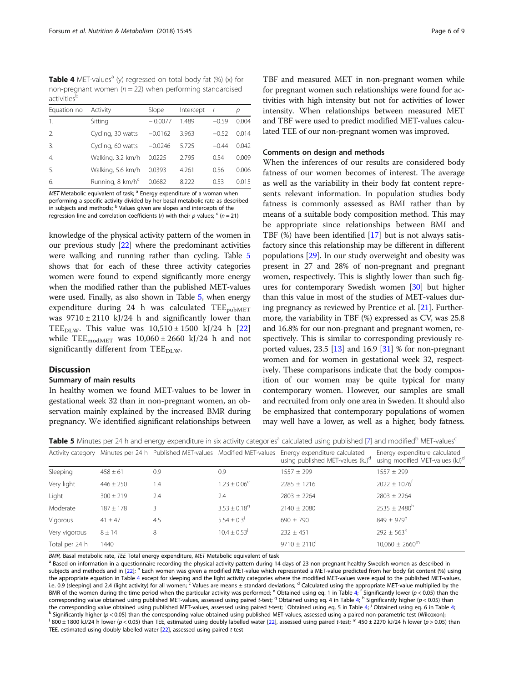<span id="page-5-0"></span>**Table 4** MET-values<sup>a</sup> (y) regressed on total body fat (%) (x) for non-pregnant women ( $n = 22$ ) when performing standardised activitiesb

| Equation no Activity |                              | Slope     | Intercept | $\mathsf{r}$ | р     |
|----------------------|------------------------------|-----------|-----------|--------------|-------|
| 1.                   | Sitting                      | $-0.0077$ | 1.489     | $-0.59$      | 0.004 |
| 2.                   | Cycling, 30 watts            | $-0.0162$ | 3.963     | $-0.52$      | 0.014 |
| $\overline{3}$ .     | Cycling, 60 watts            | $-0.0246$ | 5.725     | $-0.44$      | 0.042 |
| $\overline{4}$ .     | Walking, 3.2 km/h            | 0.0225    | 2.795     | 0.54         | 0.009 |
| -5.                  | Walking, 5.6 km/h            | 0.0393    | 4.261     | 0.56         | 0.006 |
| 6.                   | Running, 8 km/h <sup>c</sup> | 0.0682    | 8.222     | 0.53         | 0.015 |
|                      |                              |           |           |              |       |

 $MET$  Metabolic equivalent of task;  $^a$  Energy expenditure of a woman when performing a specific activity divided by her basal metabolic rate as described in subjects and methods; <sup>b</sup> Values given are slopes and intercepts of the regression line and correlation coefficients (r) with their p-values;  $c(n = 21)$ 

knowledge of the physical activity pattern of the women in our previous study [\[22\]](#page-8-0) where the predominant activities were walking and running rather than cycling. Table 5 shows that for each of these three activity categories women were found to expend significantly more energy when the modified rather than the published MET-values were used. Finally, as also shown in Table 5, when energy expenditure during 24 h was calculated  $\text{TEE}_{\text{pubMET}}$ was  $9710 \pm 2110$  kJ/24 h and significantly lower than TEE<sub>DLW</sub>. This value was  $10,510 \pm 1500$  kJ/24 h [\[22](#page-8-0)] while TEE<sub>modMET</sub> was  $10,060 \pm 2660$  kJ/24 h and not significantly different from TEE $_{\text{DLW}}$ .

## Discussion

#### Summary of main results

In healthy women we found MET-values to be lower in gestational week 32 than in non-pregnant women, an observation mainly explained by the increased BMR during pregnancy. We identified significant relationships between TBF and measured MET in non-pregnant women while for pregnant women such relationships were found for activities with high intensity but not for activities of lower intensity. When relationships between measured MET and TBF were used to predict modified MET-values calculated TEE of our non-pregnant women was improved.

## Comments on design and methods

When the inferences of our results are considered body fatness of our women becomes of interest. The average as well as the variability in their body fat content represents relevant information. In population studies body fatness is commonly assessed as BMI rather than by means of a suitable body composition method. This may be appropriate since relationships between BMI and TBF (%) have been identified [\[17\]](#page-8-0) but is not always satisfactory since this relationship may be different in different populations [[29](#page-8-0)]. In our study overweight and obesity was present in 27 and 28% of non-pregnant and pregnant women, respectively. This is slightly lower than such figures for contemporary Swedish women [[30](#page-8-0)] but higher than this value in most of the studies of MET-values during pregnancy as reviewed by Prentice et al. [\[21](#page-8-0)]. Furthermore, the variability in TBF (%) expressed as CV, was 25.8 and 16.8% for our non-pregnant and pregnant women, respectively. This is similar to corresponding previously reported values,  $23.5$  [[13](#page-8-0)] and  $16.9$  [\[31\]](#page-8-0) % for non-pregnant women and for women in gestational week 32, respectively. These comparisons indicate that the body composition of our women may be quite typical for many contemporary women. However, our samples are small and recruited from only one area in Sweden. It should also be emphasized that contemporary populations of women may well have a lower, as well as a higher, body fatness.

Table 5 Minutes per 24 h and energy expenditure in six activity categories<sup>a</sup> calculated using published [\[7](#page-8-0)] and modified<sup>b</sup> MET-values<sup>c</sup>

| <b>Tween</b> a minuted bet E minute energy experiencement and activity categories concentred asimply passibility into minute minutes |               |                                                                             |                              |                                                                               |                                                                              |  |
|--------------------------------------------------------------------------------------------------------------------------------------|---------------|-----------------------------------------------------------------------------|------------------------------|-------------------------------------------------------------------------------|------------------------------------------------------------------------------|--|
|                                                                                                                                      |               | Activity category Minutes per 24 h Published MET-values Modified MET-values |                              | Energy expenditure calculated<br>using published MET-values (kJ) <sup>d</sup> | Energy expenditure calculated<br>using modified MET-values (kJ) <sup>c</sup> |  |
| Sleeping                                                                                                                             | $458 \pm 61$  | 0.9                                                                         | 0.9                          | $1557 \pm 299$                                                                | $1557 \pm 299$                                                               |  |
| Very light                                                                                                                           | $446 \pm 250$ | 1.4                                                                         | $1.23 \pm 0.06^e$            | $2285 \pm 1216$                                                               | $2022 \pm 1076$ <sup>t</sup>                                                 |  |
| Light                                                                                                                                | $300 \pm 219$ | 2.4                                                                         | 2.4                          | $2803 \pm 2264$                                                               | $2803 \pm 2264$                                                              |  |
| Moderate                                                                                                                             | $187 \pm 178$ |                                                                             | $3.53 \pm 0.18$ <sup>g</sup> | $2140 \pm 2080$                                                               | $2535 \pm 2480^h$                                                            |  |
| Vigorous                                                                                                                             | $41 \pm 47$   | 4.5                                                                         | $5.54 \pm 0.3$               | $690 \pm 790$                                                                 | $849 \pm 979$ <sup>h</sup>                                                   |  |
| Very vigorous                                                                                                                        | $8 \pm 14$    | 8                                                                           | $10.4 \pm 0.53$ <sup>J</sup> | $232 \pm 451$                                                                 | $292 \pm 563^k$                                                              |  |
| Total per 24 h                                                                                                                       | 1440          |                                                                             |                              | $9710 \pm 2110$ <sup>'</sup>                                                  | $10,060 \pm 2660^m$                                                          |  |
|                                                                                                                                      |               |                                                                             |                              |                                                                               |                                                                              |  |

BMR, Basal metabolic rate, TEE Total energy expenditure, MET Metabolic equivalent of task<br><sup>a</sup> Based on information in a questionnaire recording the physical activity pattern during 14 days of 23 non-pregnant healthy Swedis subjects and methods and in [[22](#page-8-0)]; <sup>b</sup> Each women was given a modified MET-value which represented a MET-value predicted from her body fat content (%) using the appropriate equation in Table 4 except for sleeping and the light activity categories where the modified MET-values were equal to the published MET-values, i.e. 0.9 (sleeping) and 2.4 (light activity) for all women;  $\epsilon$  Values are means  $\pm$  standard deviations; d Calculated using the appropriate MET-value multiplied by the BMR of the women during the time period when the particular activity was performed;  $e$  Obtained using eq. 1 in Table 4; <sup>f</sup> Significantly lower (p < 0.05) than the corresponding value obtained using published MET-values, assessed using paired t-test; <sup>g</sup> Obtained using eq. 4 in Table 4; <sup>h</sup> Significantly higher (p < 0.05) than the corresponding value obtained using published MET-values, assessed using paired t-test; <sup>i</sup> Obtained using eq. 5 in Table 4; Significantly higher ( $p < 0.05$ ) than the corresponding value obtained using published MET-values, assessed using a paired non-parametric test (Wilcoxon);  $\frac{1}{800}$  ± 1800 kJ/24 h lower (p < 0.05) than TEE, estimated using doubly labelled water [\[22\]](#page-8-0), assessed using paired t-test; m 450 ± 2270 kJ/24 h lower (p > 0.05) than

TEE, estimated using doubly labelled water [[22](#page-8-0)], assessed using paired t-test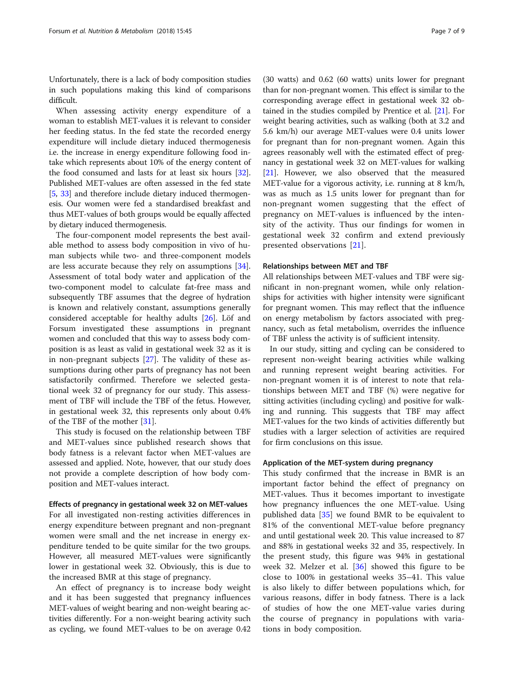Unfortunately, there is a lack of body composition studies in such populations making this kind of comparisons difficult.

When assessing activity energy expenditure of a woman to establish MET-values it is relevant to consider her feeding status. In the fed state the recorded energy expenditure will include dietary induced thermogenesis i.e. the increase in energy expenditure following food intake which represents about 10% of the energy content of the food consumed and lasts for at least six hours [[32](#page-8-0)]. Published MET-values are often assessed in the fed state [[5,](#page-8-0) [33\]](#page-8-0) and therefore include dietary induced thermogenesis. Our women were fed a standardised breakfast and thus MET-values of both groups would be equally affected by dietary induced thermogenesis.

The four-component model represents the best available method to assess body composition in vivo of human subjects while two- and three-component models are less accurate because they rely on assumptions [\[34](#page-8-0)]. Assessment of total body water and application of the two-component model to calculate fat-free mass and subsequently TBF assumes that the degree of hydration is known and relatively constant, assumptions generally considered acceptable for healthy adults [[26\]](#page-8-0). Löf and Forsum investigated these assumptions in pregnant women and concluded that this way to assess body composition is as least as valid in gestational week 32 as it is in non-pregnant subjects [[27](#page-8-0)]. The validity of these assumptions during other parts of pregnancy has not been satisfactorily confirmed. Therefore we selected gestational week 32 of pregnancy for our study. This assessment of TBF will include the TBF of the fetus. However, in gestational week 32, this represents only about 0.4% of the TBF of the mother [\[31\]](#page-8-0).

This study is focused on the relationship between TBF and MET-values since published research shows that body fatness is a relevant factor when MET-values are assessed and applied. Note, however, that our study does not provide a complete description of how body composition and MET-values interact.

#### Effects of pregnancy in gestational week 32 on MET-values

For all investigated non-resting activities differences in energy expenditure between pregnant and non-pregnant women were small and the net increase in energy expenditure tended to be quite similar for the two groups. However, all measured MET-values were significantly lower in gestational week 32. Obviously, this is due to the increased BMR at this stage of pregnancy.

An effect of pregnancy is to increase body weight and it has been suggested that pregnancy influences MET-values of weight bearing and non-weight bearing activities differently. For a non-weight bearing activity such as cycling, we found MET-values to be on average 0.42

(30 watts) and 0.62 (60 watts) units lower for pregnant than for non-pregnant women. This effect is similar to the corresponding average effect in gestational week 32 obtained in the studies compiled by Prentice et al. [[21](#page-8-0)]. For weight bearing activities, such as walking (both at 3.2 and 5.6 km/h) our average MET-values were 0.4 units lower for pregnant than for non-pregnant women. Again this agrees reasonably well with the estimated effect of pregnancy in gestational week 32 on MET-values for walking [[21](#page-8-0)]. However, we also observed that the measured MET-value for a vigorous activity, i.e. running at 8 km/h, was as much as 1.5 units lower for pregnant than for non-pregnant women suggesting that the effect of pregnancy on MET-values is influenced by the intensity of the activity. Thus our findings for women in gestational week 32 confirm and extend previously presented observations [[21\]](#page-8-0).

#### Relationships between MET and TBF

All relationships between MET-values and TBF were significant in non-pregnant women, while only relationships for activities with higher intensity were significant for pregnant women. This may reflect that the influence on energy metabolism by factors associated with pregnancy, such as fetal metabolism, overrides the influence of TBF unless the activity is of sufficient intensity.

In our study, sitting and cycling can be considered to represent non-weight bearing activities while walking and running represent weight bearing activities. For non-pregnant women it is of interest to note that relationships between MET and TBF (%) were negative for sitting activities (including cycling) and positive for walking and running. This suggests that TBF may affect MET-values for the two kinds of activities differently but studies with a larger selection of activities are required for firm conclusions on this issue.

## Application of the MET-system during pregnancy

This study confirmed that the increase in BMR is an important factor behind the effect of pregnancy on MET-values. Thus it becomes important to investigate how pregnancy influences the one MET-value. Using published data [[35\]](#page-8-0) we found BMR to be equivalent to 81% of the conventional MET-value before pregnancy and until gestational week 20. This value increased to 87 and 88% in gestational weeks 32 and 35, respectively. In the present study, this figure was 94% in gestational week 32. Melzer et al. [[36](#page-8-0)] showed this figure to be close to 100% in gestational weeks 35–41. This value is also likely to differ between populations which, for various reasons, differ in body fatness. There is a lack of studies of how the one MET-value varies during the course of pregnancy in populations with variations in body composition.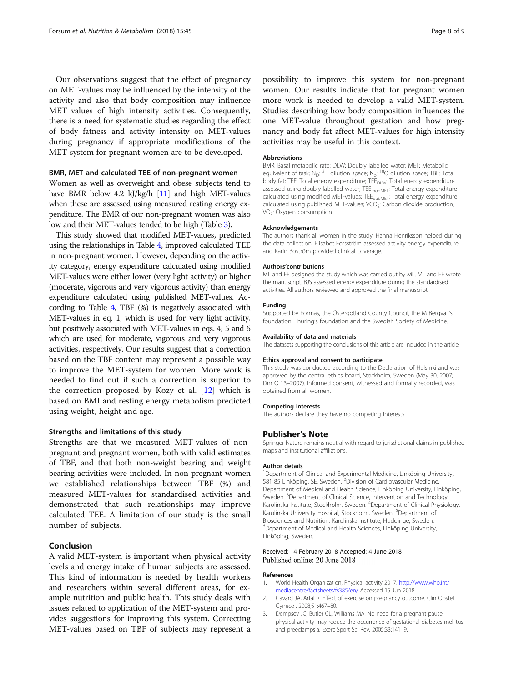<span id="page-7-0"></span>Our observations suggest that the effect of pregnancy on MET-values may be influenced by the intensity of the activity and also that body composition may influence MET values of high intensity activities. Consequently, there is a need for systematic studies regarding the effect of body fatness and activity intensity on MET-values during pregnancy if appropriate modifications of the MET-system for pregnant women are to be developed.

# BMR, MET and calculated TEE of non-pregnant women

Women as well as overweight and obese subjects tend to have BMR below 4.2 kJ/kg/h [[11](#page-8-0)] and high MET-values when these are assessed using measured resting energy expenditure. The BMR of our non-pregnant women was also low and their MET-values tended to be high (Table [3](#page-4-0)).

This study showed that modified MET-values, predicted using the relationships in Table [4,](#page-5-0) improved calculated TEE in non-pregnant women. However, depending on the activity category, energy expenditure calculated using modified MET-values were either lower (very light activity) or higher (moderate, vigorous and very vigorous activity) than energy expenditure calculated using published MET-values. According to Table [4,](#page-5-0) TBF (%) is negatively associated with MET-values in eq. 1, which is used for very light activity, but positively associated with MET-values in eqs. 4, 5 and 6 which are used for moderate, vigorous and very vigorous activities, respectively. Our results suggest that a correction based on the TBF content may represent a possible way to improve the MET-system for women. More work is needed to find out if such a correction is superior to the correction proposed by Kozy et al. [\[12](#page-8-0)] which is based on BMI and resting energy metabolism predicted using weight, height and age.

#### Strengths and limitations of this study

Strengths are that we measured MET-values of nonpregnant and pregnant women, both with valid estimates of TBF, and that both non-weight bearing and weight bearing activities were included. In non-pregnant women we established relationships between TBF (%) and measured MET-values for standardised activities and demonstrated that such relationships may improve calculated TEE. A limitation of our study is the small number of subjects.

# Conclusion

A valid MET-system is important when physical activity levels and energy intake of human subjects are assessed. This kind of information is needed by health workers and researchers within several different areas, for example nutrition and public health. This study deals with issues related to application of the MET-system and provides suggestions for improving this system. Correcting MET-values based on TBF of subjects may represent a

possibility to improve this system for non-pregnant women. Our results indicate that for pregnant women more work is needed to develop a valid MET-system. Studies describing how body composition influences the one MET-value throughout gestation and how pregnancy and body fat affect MET-values for high intensity activities may be useful in this context.

#### Abbreviations

BMR: Basal metabolic rate; DLW: Doubly labelled water; MET: Metabolic equivalent of task; N<sub>D</sub>: <sup>2</sup>H dilution space; N<sub>o</sub>: <sup>18</sup>O dilution space; TBF: Total body fat; TEE: Total energy expenditure; TEE<sub>DLW</sub>: Total energy expenditure assessed using doubly labelled water; TEE<sub>modMET</sub>: Total energy expenditure calculated using modified MET-values;  $\text{TEE}_{\text{pubMET}}$ : Total energy expenditure calculated using published MET-values;  $VCO<sub>2</sub>$ : Carbon dioxide production; VO2: Oxygen consumption

#### Acknowledgements

The authors thank all women in the study. Hanna Henriksson helped during the data collection, Elisabet Forsström assessed activity energy expenditure and Karin Boström provided clinical coverage.

#### Authors'contributions

ML and EF designed the study which was carried out by ML. ML and EF wrote the manuscript. BJS assessed energy expenditure during the standardised activities. All authors reviewed and approved the final manuscript.

#### Funding

Supported by Formas, the Östergötland County Council, the M Bergvall's foundation, Thuring's foundation and the Swedish Society of Medicine.

#### Availability of data and materials

The datasets supporting the conclusions of this article are included in the article.

#### Ethics approval and consent to participate

This study was conducted according to the Declaration of Helsinki and was approved by the central ethics board, Stockholm, Sweden (May 30, 2007; Dnr Ö 13–2007). Informed consent, witnessed and formally recorded, was obtained from all women.

#### Competing interests

The authors declare they have no competing interests.

#### Publisher's Note

Springer Nature remains neutral with regard to jurisdictional claims in published maps and institutional affiliations.

#### Author details

<sup>1</sup>Department of Clinical and Experimental Medicine, Linköping University 581 85 Linköping, SE, Sweden. <sup>2</sup> Division of Cardiovascular Medicine Department of Medical and Health Science, Linköping University, Linköping, Sweden. <sup>3</sup> Department of Clinical Science, Intervention and Technology, Karolinska Institute, Stockholm, Sweden. <sup>4</sup> Department of Clinical Physiology, Karolinska University Hospital, Stockholm, Sweden. <sup>5</sup>Department of Biosciences and Nutrition, Karolinska Institute, Huddinge, Sweden. 6 Department of Medical and Health Sciences, Linköping University, Linköping, Sweden.

# Received: 14 February 2018 Accepted: 4 June 2018 Published online: 20 June 2018

#### References

- 1. World Health Organization, Physical activity 2017. [http://www.who.int/](http://www.who.int/mediacentre/factsheets/fs385/en/) [mediacentre/factsheets/fs385/en/](http://www.who.int/mediacentre/factsheets/fs385/en/) Accessed 15 Jun 2018.
- 2. Gavard JA, Artal R. Effect of exercise on pregnancy outcome. Clin Obstet Gynecol. 2008;51:467–80.
- 3. Dempsey JC, Butler CL, Williams MA. No need for a pregnant pause: physical activity may reduce the occurrence of gestational diabetes mellitus and preeclampsia. Exerc Sport Sci Rev. 2005;33:141–9.